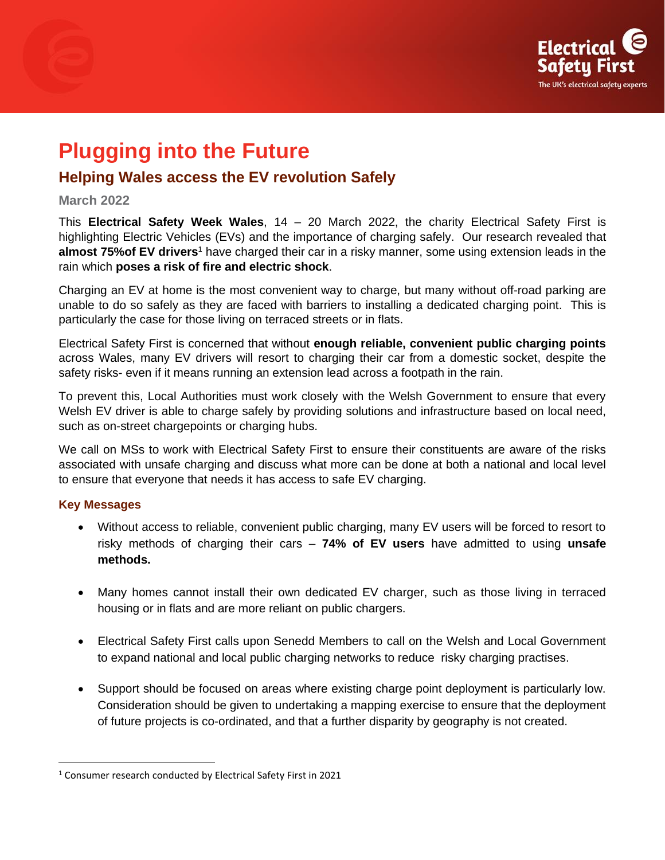

# **Plugging into the Future**

## **Helping Wales access the EV revolution Safely**

#### **March 2022**

This **Electrical Safety Week Wales**, 14 – 20 March 2022, the charity Electrical Safety First is highlighting Electric Vehicles (EVs) and the importance of charging safely. Our research revealed that **almost 75%of EV drivers**<sup>1</sup> have charged their car in a risky manner, some using extension leads in the rain which **poses a risk of fire and electric shock**.

Charging an EV at home is the most convenient way to charge, but many without off-road parking are unable to do so safely as they are faced with barriers to installing a dedicated charging point. This is particularly the case for those living on terraced streets or in flats.

Electrical Safety First is concerned that without **enough reliable, convenient public charging points**  across Wales, many EV drivers will resort to charging their car from a domestic socket, despite the safety risks- even if it means running an extension lead across a footpath in the rain.

To prevent this, Local Authorities must work closely with the Welsh Government to ensure that every Welsh EV driver is able to charge safely by providing solutions and infrastructure based on local need, such as on-street chargepoints or charging hubs.

We call on MSs to work with Electrical Safety First to ensure their constituents are aware of the risks associated with unsafe charging and discuss what more can be done at both a national and local level to ensure that everyone that needs it has access to safe EV charging.

#### **Key Messages**

- Without access to reliable, convenient public charging, many EV users will be forced to resort to risky methods of charging their cars – **74% of EV users** have admitted to using **unsafe methods.**
- Many homes cannot install their own dedicated EV charger, such as those living in terraced housing or in flats and are more reliant on public chargers.
- Electrical Safety First calls upon Senedd Members to call on the Welsh and Local Government to expand national and local public charging networks to reduce risky charging practises.
- Support should be focused on areas where existing charge point deployment is particularly low. Consideration should be given to undertaking a mapping exercise to ensure that the deployment of future projects is co-ordinated, and that a further disparity by geography is not created.

<sup>1</sup> Consumer research conducted by Electrical Safety First in 2021